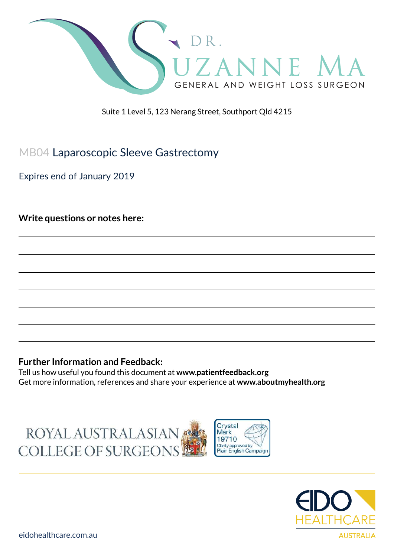

Suite 1 Level 5, 123 Nerang Street, Southport Qld 4215

## MB04 Laparoscopic Sleeve Gastrectomy

Expires end of January 2019

**Write questions or notes here:**

#### **Further Information and Feedback:**

Tell us how useful you found this document at **www.patientfeedback.org** Get more information, references and share your experience at **www.aboutmyhealth.org**





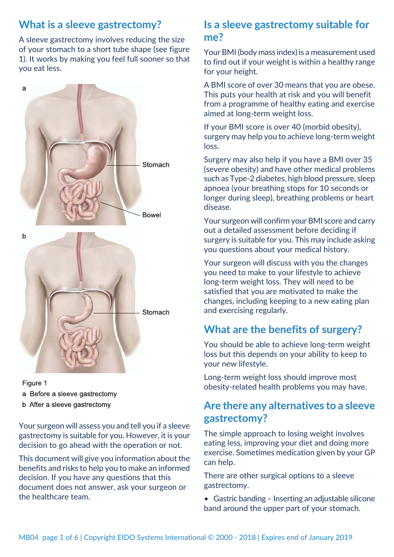## **What is a sleeve gastrectomy?**

A sleeve gastrectomy involves reducing the size of your stomach to a short tube shape (see figure 1). It works by making you feel full sooner so that you eat less.



#### Figure 1

- a Before a sleeve gastrectomy
- b After a sleeve gastrectomy

Your surgeon will assess you and tell you if a sleeve gastrectomy is suitable for you. However, it is your decision to go ahead with the operation or not.

This document will give you information about the benefits and risks to help you to make an informed decision. If you have any questions that this document does not answer, ask your surgeon or the healthcare team.

## **Is a sleeve gastrectomy suitable for me?**

Your BMI (body mass index) is a measurement used to find out if your weight is within a healthy range for your height.

A BMI score of over 30 means that you are obese. This puts your health at risk and you will benefit from a programme of healthy eating and exercise aimed at long-term weight loss.

If your BMI score is over 40 (morbid obesity), surgery may help you to achieve long-term weight loss.

Surgery may also help if you have a BMI over 35 (severe obesity) and have other medical problems such as Type-2 diabetes, high blood pressure, sleep apnoea (your breathing stops for 10 seconds or longer during sleep), breathing problems or heart disease.

Your surgeon will confirm your BMI score and carry out a detailed assessment before deciding if surgery is suitable for you. This may include asking you questions about your medical history.

Your surgeon will discuss with you the changes you need to make to your lifestyle to achieve long-term weight loss. They will need to be satisfied that you are motivated to make the changes, including keeping to a new eating plan and exercising regularly.

# **What are the benefits of surgery?**

You should be able to achieve long-term weight loss but this depends on your ability to keep to your new lifestyle.

Long-term weight loss should improve most obesity-related health problems you may have.

# **Are there any alternatives to a sleeve gastrectomy?**

The simple approach to losing weight involves eating less, improving your diet and doing more exercise. Sometimes medication given by your GP can help.

There are other surgical options to a sleeve gastrectomy.

• Gastric banding – Inserting an adjustable silicone band around the upper part of your stomach.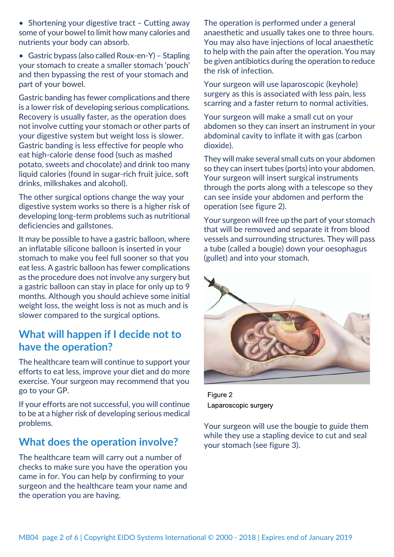• Shortening your digestive tract – Cutting away some of your bowel to limit how many calories and nutrients your body can absorb.

• Gastric bypass (also called Roux-en-Y) – Stapling your stomach to create a smaller stomach 'pouch' and then bypassing the rest of your stomach and part of your bowel.

Gastric banding has fewer complications and there is a lower risk of developing serious complications. Recovery is usually faster, as the operation does not involve cutting your stomach or other parts of your digestive system but weight loss is slower. Gastric banding is less effective for people who eat high-calorie dense food (such as mashed potato, sweets and chocolate) and drink too many liquid calories (found in sugar-rich fruit juice, soft drinks, milkshakes and alcohol).

The other surgical options change the way your digestive system works so there is a higher risk of developing long-term problems such as nutritional deficiencies and gallstones.

It may be possible to have a gastric balloon, where an inflatable silicone balloon is inserted in your stomach to make you feel full sooner so that you eat less. A gastric balloon has fewer complications as the procedure does not involve any surgery but a gastric balloon can stay in place for only up to 9 months. Although you should achieve some initial weight loss, the weight loss is not as much and is slower compared to the surgical options.

## **What will happen if I decide not to have the operation?**

The healthcare team will continue to support your efforts to eat less, improve your diet and do more exercise. Your surgeon may recommend that you go to your GP.

If your efforts are not successful, you will continue to be at a higher risk of developing serious medical problems.

### **What does the operation involve?**

The healthcare team will carry out a number of checks to make sure you have the operation you came in for. You can help by confirming to your surgeon and the healthcare team your name and the operation you are having.

The operation is performed under a general anaesthetic and usually takes one to three hours. You may also have injections of local anaesthetic to help with the pain after the operation. You may be given antibiotics during the operation to reduce the risk of infection.

Your surgeon will use laparoscopic (keyhole) surgery as this is associated with less pain, less scarring and a faster return to normal activities.

Your surgeon will make a small cut on your abdomen so they can insert an instrument in your abdominal cavity to inflate it with gas (carbon dioxide).

They will make several small cuts on your abdomen so they can insert tubes (ports) into your abdomen. Your surgeon will insert surgical instruments through the ports along with a telescope so they can see inside your abdomen and perform the operation (see figure 2).

Your surgeon will free up the part of your stomach that will be removed and separate it from blood vessels and surrounding structures. They will pass a tube (called a bougie) down your oesophagus (gullet) and into your stomach.



Figure 2 Laparoscopic surgery

Your surgeon will use the bougie to guide them while they use a stapling device to cut and seal your stomach (see figure 3).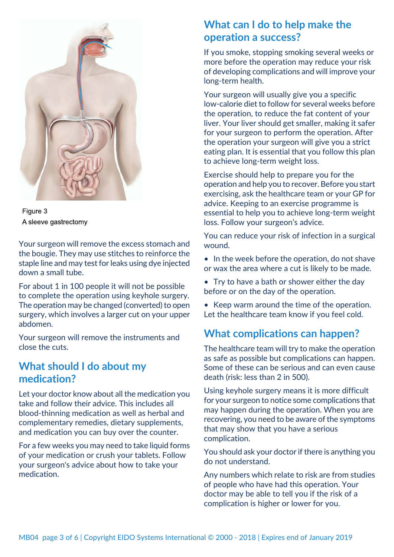

Figure 3 A sleeve gastrectomy

Your surgeon will remove the excess stomach and the bougie. They may use stitches to reinforce the staple line and may test for leaks using dye injected down a small tube.

For about 1 in 100 people it will not be possible to complete the operation using keyhole surgery. The operation may be changed (converted) to open surgery, which involves a larger cut on your upper abdomen.

Your surgeon will remove the instruments and close the cuts.

### **What should I do about my medication?**

Let your doctor know about all the medication you take and follow their advice. This includes all blood-thinning medication as well as herbal and complementary remedies, dietary supplements, and medication you can buy over the counter.

For a few weeks you may need to take liquid forms of your medication or crush your tablets. Follow your surgeon's advice about how to take your medication.

### **What can I do to help make the operation a success?**

If you smoke, stopping smoking several weeks or more before the operation may reduce your risk of developing complications and will improve your long-term health.

Your surgeon will usually give you a specific low-calorie diet to follow for several weeks before the operation, to reduce the fat content of your liver. Your liver should get smaller, making it safer for your surgeon to perform the operation. After the operation your surgeon will give you a strict eating plan. It is essential that you follow this plan to achieve long-term weight loss.

Exercise should help to prepare you for the operation and help you to recover. Before you start exercising, ask the healthcare team or your GP for advice. Keeping to an exercise programme is essential to help you to achieve long-term weight loss. Follow your surgeon's advice.

You can reduce your risk of infection in a surgical wound.

- In the week before the operation, do not shave or wax the area where a cut is likely to be made.
- Try to have a bath or shower either the day before or on the day of the operation.
- Keep warm around the time of the operation. Let the healthcare team know if you feel cold.

## **What complications can happen?**

The healthcare team will try to make the operation as safe as possible but complications can happen. Some of these can be serious and can even cause death (risk: less than 2 in 500).

Using keyhole surgery means it is more difficult for your surgeon to notice some complications that may happen during the operation. When you are recovering, you need to be aware of the symptoms that may show that you have a serious complication.

You should ask your doctor if there is anything you do not understand.

Any numbers which relate to risk are from studies of people who have had this operation. Your doctor may be able to tell you if the risk of a complication is higher or lower for you.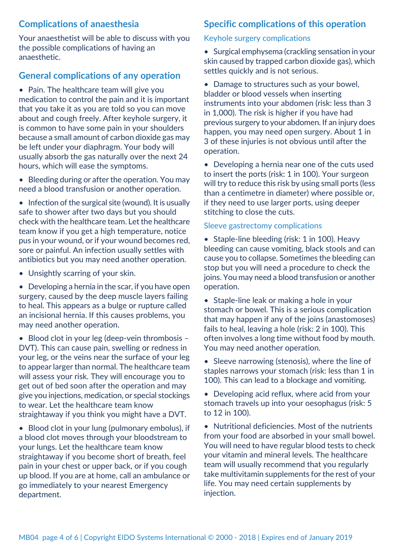### **Complications of anaesthesia**

Your anaesthetist will be able to discuss with you the possible complications of having an anaesthetic.

### **General complications of any operation**

• Pain. The healthcare team will give you medication to control the pain and it is important that you take it as you are told so you can move about and cough freely. After keyhole surgery, it is common to have some pain in your shoulders because a small amount of carbon dioxide gas may be left under your diaphragm. Your body will usually absorb the gas naturally over the next 24 hours, which will ease the symptoms.

• Bleeding during or after the operation. You may need a blood transfusion or another operation.

• Infection of the surgical site (wound). It is usually safe to shower after two days but you should check with the healthcare team. Let the healthcare team know if you get a high temperature, notice pus in your wound, or if your wound becomes red, sore or painful. An infection usually settles with antibiotics but you may need another operation.

• Unsightly scarring of your skin.

• Developing a hernia in the scar, if you have open surgery, caused by the deep muscle layers failing to heal. This appears as a bulge or rupture called an incisional hernia. If this causes problems, you may need another operation.

• Blood clot in your leg (deep-vein thrombosis – DVT). This can cause pain, swelling or redness in your leg, or the veins near the surface of your leg to appear larger than normal. The healthcare team will assess your risk. They will encourage you to get out of bed soon after the operation and may give you injections, medication, or special stockings to wear. Let the healthcare team know straightaway if you think you might have a DVT.

• Blood clot in your lung (pulmonary embolus), if a blood clot moves through your bloodstream to your lungs. Let the healthcare team know straightaway if you become short of breath, feel pain in your chest or upper back, or if you cough up blood. If you are at home, call an ambulance or go immediately to your nearest Emergency department.

### **Specific complications of this operation**

#### Keyhole surgery complications

• Surgical emphysema (crackling sensation in your skin caused by trapped carbon dioxide gas), which settles quickly and is not serious.

• Damage to structures such as your bowel, bladder or blood vessels when inserting instruments into your abdomen (risk: less than 3 in 1,000). The risk is higher if you have had previous surgery to your abdomen. If an injury does happen, you may need open surgery. About 1 in 3 of these injuries is not obvious until after the operation.

• Developing a hernia near one of the cuts used to insert the ports (risk: 1 in 100). Your surgeon will try to reduce this risk by using small ports (less than a centimetre in diameter) where possible or, if they need to use larger ports, using deeper stitching to close the cuts.

#### Sleeve gastrectomy complications

• Staple-line bleeding (risk: 1 in 100). Heavy bleeding can cause vomiting, black stools and can cause you to collapse. Sometimes the bleeding can stop but you will need a procedure to check the joins. You may need a blood transfusion or another operation.

• Staple-line leak or making a hole in your stomach or bowel. This is a serious complication that may happen if any of the joins (anastomoses) fails to heal, leaving a hole (risk: 2 in 100). This often involves a long time without food by mouth. You may need another operation.

• Sleeve narrowing (stenosis), where the line of staples narrows your stomach (risk: less than 1 in 100). This can lead to a blockage and vomiting.

• Developing acid reflux, where acid from your stomach travels up into your oesophagus (risk: 5 to 12 in 100).

• Nutritional deficiencies. Most of the nutrients from your food are absorbed in your small bowel. You will need to have regular blood tests to check your vitamin and mineral levels. The healthcare team will usually recommend that you regularly take multivitamin supplements for the rest of your life. You may need certain supplements by injection.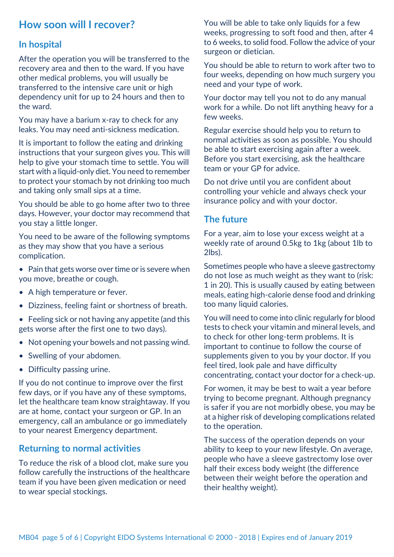### **How soon will I recover?**

#### **In hospital**

After the operation you will be transferred to the recovery area and then to the ward. If you have other medical problems, you will usually be transferred to the intensive care unit or high dependency unit for up to 24 hours and then to the ward.

You may have a barium x-ray to check for any leaks. You may need anti-sickness medication.

It is important to follow the eating and drinking instructions that your surgeon gives you. This will help to give your stomach time to settle. You will start with a liquid-only diet. You need to remember to protect your stomach by not drinking too much and taking only small sips at a time.

You should be able to go home after two to three days. However, your doctor may recommend that you stay a little longer.

You need to be aware of the following symptoms as they may show that you have a serious complication.

- Pain that gets worse over time or is severe when you move, breathe or cough.
- A high temperature or fever.
- Dizziness, feeling faint or shortness of breath.
- Feeling sick or not having any appetite (and this gets worse after the first one to two days).
- Not opening your bowels and not passing wind.
- Swelling of your abdomen.
- Difficulty passing urine.

If you do not continue to improve over the first few days, or if you have any of these symptoms, let the healthcare team know straightaway. If you are at home, contact your surgeon or GP. In an emergency, call an ambulance or go immediately to your nearest Emergency department.

#### **Returning to normal activities**

To reduce the risk of a blood clot, make sure you follow carefully the instructions of the healthcare team if you have been given medication or need to wear special stockings.

You will be able to take only liquids for a few weeks, progressing to soft food and then, after 4 to 6 weeks, to solid food. Follow the advice of your surgeon or dietician.

You should be able to return to work after two to four weeks, depending on how much surgery you need and your type of work.

Your doctor may tell you not to do any manual work for a while. Do not lift anything heavy for a few weeks.

Regular exercise should help you to return to normal activities as soon as possible. You should be able to start exercising again after a week. Before you start exercising, ask the healthcare team or your GP for advice.

Do not drive until you are confident about controlling your vehicle and always check your insurance policy and with your doctor.

### **The future**

For a year, aim to lose your excess weight at a weekly rate of around 0.5kg to 1kg (about 1lb to 2lbs).

Sometimes people who have a sleeve gastrectomy do not lose as much weight as they want to (risk: 1 in 20). This is usually caused by eating between meals, eating high-calorie dense food and drinking too many liquid calories.

You will need to come into clinic regularly for blood tests to check your vitamin and mineral levels, and to check for other long-term problems. It is important to continue to follow the course of supplements given to you by your doctor. If you feel tired, look pale and have difficulty concentrating, contact your doctor for a check-up.

For women, it may be best to wait a year before trying to become pregnant. Although pregnancy is safer if you are not morbidly obese, you may be at a higher risk of developing complications related to the operation.

The success of the operation depends on your ability to keep to your new lifestyle. On average, people who have a sleeve gastrectomy lose over half their excess body weight (the difference between their weight before the operation and their healthy weight).